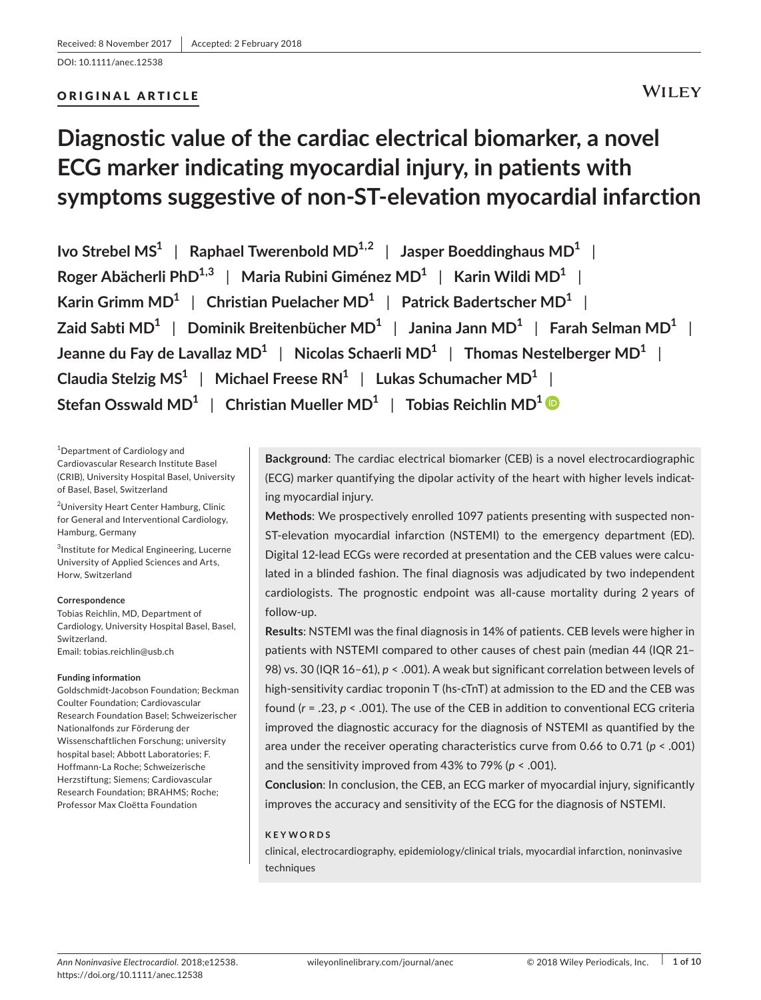DOI: 10.1111/anec.12538

# ORIGINAL ARTICLE

# **Diagnostic value of the cardiac electrical biomarker, a novel ECG marker indicating myocardial injury, in patients with symptoms suggestive of non-ST-elevation myocardial infarction**

**Ivo Strebel MS1** | **Raphael Twerenbold MD1,2** | **Jasper Boeddinghaus MD<sup>1</sup>** | **Roger Abächerli PhD1,3** | **Maria Rubini Giménez MD<sup>1</sup>** | **Karin Wildi MD<sup>1</sup>** | **Karin Grimm MD<sup>1</sup>** | **Christian Puelacher MD<sup>1</sup>** | **Patrick Badertscher MD<sup>1</sup>** | **Zaid Sabti MD1** | **Dominik Breitenbücher MD<sup>1</sup>** | **Janina Jann MD<sup>1</sup>** | **Farah Selman MD<sup>1</sup>** | **Jeanne du Fay de Lavallaz MD<sup>1</sup>** | **Nicolas Schaerli MD<sup>1</sup>** | **Thomas Nestelberger MD<sup>1</sup>** | **Claudia Stelzig MS<sup>1</sup>** | **Michael Freese RN<sup>1</sup>** | **Lukas Schumacher MD<sup>1</sup>** | **Stefan Osswald MD1** | **Christian Mueller MD<sup>1</sup>** | **Tobias Reichlin MD<sup>1</sup>**

1 Department of Cardiology and Cardiovascular Research Institute Basel (CRIB), University Hospital Basel, University of Basel, Basel, Switzerland

2 University Heart Center Hamburg, Clinic for General and Interventional Cardiology, Hamburg, Germany

<sup>3</sup>Institute for Medical Engineering, Lucerne University of Applied Sciences and Arts, Horw, Switzerland

## **Correspondence**

Tobias Reichlin, MD, Department of Cardiology, University Hospital Basel, Basel, Switzerland. Email: tobias.reichlin@usb.ch

## **Funding information**

Goldschmidt-Jacobson Foundation; Beckman Coulter Foundation; Cardiovascular Research Foundation Basel; Schweizerischer Nationalfonds zur Förderung der Wissenschaftlichen Forschung; university hospital basel; Abbott Laboratories; F. Hoffmann-La Roche; Schweizerische Herzstiftung; Siemens; Cardiovascular Research Foundation; BRAHMS; Roche; Professor Max Cloëtta Foundation

**Background**: The cardiac electrical biomarker (CEB) is a novel electrocardiographic (ECG) marker quantifying the dipolar activity of the heart with higher levels indicating myocardial injury.

**Methods**: We prospectively enrolled 1097 patients presenting with suspected non-ST-elevation myocardial infarction (NSTEMI) to the emergency department (ED). Digital 12-lead ECGs were recorded at presentation and the CEB values were calculated in a blinded fashion. The final diagnosis was adjudicated by two independent cardiologists. The prognostic endpoint was all-cause mortality during 2 years of follow-up.

**Results**: NSTEMI was the final diagnosis in 14% of patients. CEB levels were higher in patients with NSTEMI compared to other causes of chest pain (median 44 (IQR 21– 98) vs. 30 (IQR 16–61), *p* < .001). A weak but significant correlation between levels of high-sensitivity cardiac troponin T (hs-cTnT) at admission to the ED and the CEB was found (*r* = .23, *p* < .001). The use of the CEB in addition to conventional ECG criteria improved the diagnostic accuracy for the diagnosis of NSTEMI as quantified by the area under the receiver operating characteristics curve from 0.66 to 0.71 (*p* < .001) and the sensitivity improved from 43% to 79% (*p* < .001).

**Conclusion**: In conclusion, the CEB, an ECG marker of myocardial injury, significantly improves the accuracy and sensitivity of the ECG for the diagnosis of NSTEMI.

# **KEYWORDS**

clinical, electrocardiography, epidemiology/clinical trials, myocardial infarction, noninvasive techniques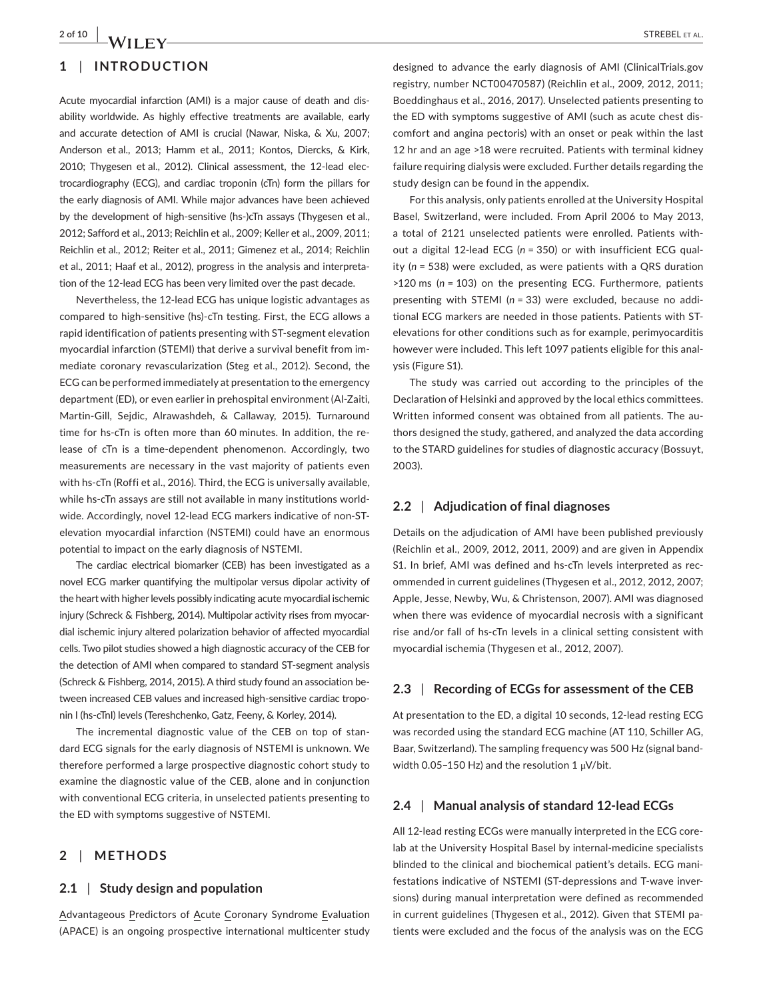# **1** | **INTRODUCTION**

Acute myocardial infarction (AMI) is a major cause of death and disability worldwide. As highly effective treatments are available, early and accurate detection of AMI is crucial (Nawar, Niska, & Xu, 2007; Anderson et al., 2013; Hamm et al., 2011; Kontos, Diercks, & Kirk, 2010; Thygesen et al., 2012). Clinical assessment, the 12-lead electrocardiography (ECG), and cardiac troponin (cTn) form the pillars for the early diagnosis of AMI. While major advances have been achieved by the development of high-sensitive (hs-)cTn assays (Thygesen et al., 2012; Safford et al., 2013; Reichlin et al., 2009; Keller et al., 2009, 2011; Reichlin et al., 2012; Reiter et al., 2011; Gimenez et al., 2014; Reichlin et al., 2011; Haaf et al., 2012), progress in the analysis and interpretation of the 12-lead ECG has been very limited over the past decade.

Nevertheless, the 12-lead ECG has unique logistic advantages as compared to high-sensitive (hs)-cTn testing. First, the ECG allows a rapid identification of patients presenting with ST-segment elevation myocardial infarction (STEMI) that derive a survival benefit from immediate coronary revascularization (Steg et al., 2012). Second, the ECG can be performed immediately at presentation to the emergency department (ED), or even earlier in prehospital environment (Al-Zaiti, Martin-Gill, Sejdic, Alrawashdeh, & Callaway, 2015). Turnaround time for hs-cTn is often more than 60 minutes. In addition, the release of cTn is a time-dependent phenomenon. Accordingly, two measurements are necessary in the vast majority of patients even with hs-cTn (Roffi et al., 2016). Third, the ECG is universally available, while hs-cTn assays are still not available in many institutions worldwide. Accordingly, novel 12-lead ECG markers indicative of non-STelevation myocardial infarction (NSTEMI) could have an enormous potential to impact on the early diagnosis of NSTEMI.

The cardiac electrical biomarker (CEB) has been investigated as a novel ECG marker quantifying the multipolar versus dipolar activity of the heart with higher levels possibly indicating acute myocardial ischemic injury (Schreck & Fishberg, 2014). Multipolar activity rises from myocardial ischemic injury altered polarization behavior of affected myocardial cells. Two pilot studies showed a high diagnostic accuracy of the CEB for the detection of AMI when compared to standard ST-segment analysis (Schreck & Fishberg, 2014, 2015). A third study found an association between increased CEB values and increased high-sensitive cardiac troponin I (hs-cTnI) levels (Tereshchenko, Gatz, Feeny, & Korley, 2014).

The incremental diagnostic value of the CEB on top of standard ECG signals for the early diagnosis of NSTEMI is unknown. We therefore performed a large prospective diagnostic cohort study to examine the diagnostic value of the CEB, alone and in conjunction with conventional ECG criteria, in unselected patients presenting to the ED with symptoms suggestive of NSTEMI.

# **2** | **METHODS**

#### **2.1** | **Study design and population**

Advantageous Predictors of Acute Coronary Syndrome Evaluation (APACE) is an ongoing prospective international multicenter study designed to advance the early diagnosis of AMI (ClinicalTrials.gov registry, number NCT00470587) (Reichlin et al., 2009, 2012, 2011; Boeddinghaus et al., 2016, 2017). Unselected patients presenting to the ED with symptoms suggestive of AMI (such as acute chest discomfort and angina pectoris) with an onset or peak within the last 12 hr and an age >18 were recruited. Patients with terminal kidney failure requiring dialysis were excluded. Further details regarding the study design can be found in the appendix.

For this analysis, only patients enrolled at the University Hospital Basel, Switzerland, were included. From April 2006 to May 2013, a total of 2121 unselected patients were enrolled. Patients without a digital 12-lead ECG (*n* = 350) or with insufficient ECG quality (*n* = 538) were excluded, as were patients with a QRS duration >120 ms (*n* = 103) on the presenting ECG. Furthermore, patients presenting with STEMI (*n* = 33) were excluded, because no additional ECG markers are needed in those patients. Patients with STelevations for other conditions such as for example, perimyocarditis however were included. This left 1097 patients eligible for this analysis (Figure S1).

The study was carried out according to the principles of the Declaration of Helsinki and approved by the local ethics committees. Written informed consent was obtained from all patients. The authors designed the study, gathered, and analyzed the data according to the STARD guidelines for studies of diagnostic accuracy (Bossuyt, 2003).

# **2.2** | **Adjudication of final diagnoses**

Details on the adjudication of AMI have been published previously (Reichlin et al., 2009, 2012, 2011, 2009) and are given in Appendix S1. In brief, AMI was defined and hs-cTn levels interpreted as recommended in current guidelines (Thygesen et al., 2012, 2012, 2007; Apple, Jesse, Newby, Wu, & Christenson, 2007). AMI was diagnosed when there was evidence of myocardial necrosis with a significant rise and/or fall of hs-cTn levels in a clinical setting consistent with myocardial ischemia (Thygesen et al., 2012, 2007).

#### **2.3** | **Recording of ECGs for assessment of the CEB**

At presentation to the ED, a digital 10 seconds, 12-lead resting ECG was recorded using the standard ECG machine (AT 110, Schiller AG, Baar, Switzerland). The sampling frequency was 500 Hz (signal bandwidth 0.05-150 Hz) and the resolution 1  $\mu$ V/bit.

#### **2.4** | **Manual analysis of standard 12-lead ECGs**

All 12-lead resting ECGs were manually interpreted in the ECG corelab at the University Hospital Basel by internal-medicine specialists blinded to the clinical and biochemical patient's details. ECG manifestations indicative of NSTEMI (ST-depressions and T-wave inversions) during manual interpretation were defined as recommended in current guidelines (Thygesen et al., 2012). Given that STEMI patients were excluded and the focus of the analysis was on the ECG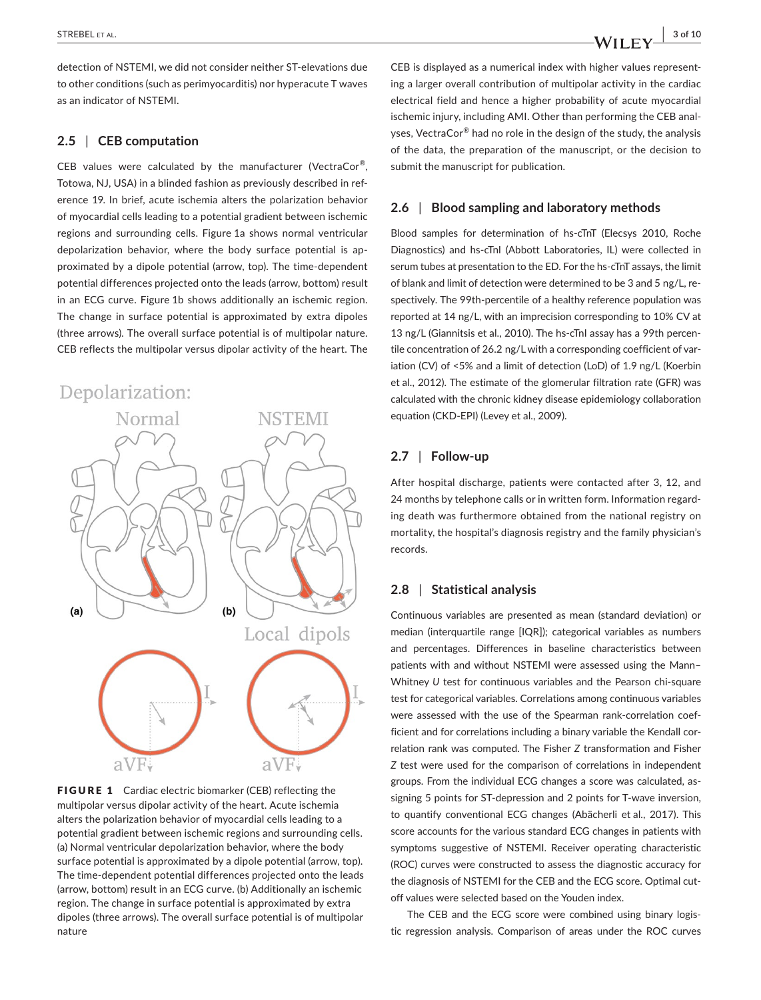detection of NSTEMI, we did not consider neither ST-elevations due to other conditions (such as perimyocarditis) nor hyperacute T waves as an indicator of NSTEMI.

# **2.5** | **CEB computation**

CEB values were calculated by the manufacturer (VectraCor®, Totowa, NJ, USA) in a blinded fashion as previously described in reference 19. In brief, acute ischemia alters the polarization behavior of myocardial cells leading to a potential gradient between ischemic regions and surrounding cells. Figure 1a shows normal ventricular depolarization behavior, where the body surface potential is approximated by a dipole potential (arrow, top). The time-dependent potential differences projected onto the leads (arrow, bottom) result in an ECG curve. Figure 1b shows additionally an ischemic region. The change in surface potential is approximated by extra dipoles (three arrows). The overall surface potential is of multipolar nature. CEB reflects the multipolar versus dipolar activity of the heart. The



FIGURE 1 Cardiac electric biomarker (CEB) reflecting the multipolar versus dipolar activity of the heart. Acute ischemia alters the polarization behavior of myocardial cells leading to a potential gradient between ischemic regions and surrounding cells. (a) Normal ventricular depolarization behavior, where the body surface potential is approximated by a dipole potential (arrow, top). The time-dependent potential differences projected onto the leads (arrow, bottom) result in an ECG curve. (b) Additionally an ischemic region. The change in surface potential is approximated by extra dipoles (three arrows). The overall surface potential is of multipolar nature

CEB is displayed as a numerical index with higher values representing a larger overall contribution of multipolar activity in the cardiac electrical field and hence a higher probability of acute myocardial ischemic injury, including AMI. Other than performing the CEB analyses, VectraCor® had no role in the design of the study, the analysis of the data, the preparation of the manuscript, or the decision to submit the manuscript for publication.

# **2.6** | **Blood sampling and laboratory methods**

Blood samples for determination of hs-cTnT (Elecsys 2010, Roche Diagnostics) and hs-cTnI (Abbott Laboratories, IL) were collected in serum tubes at presentation to the ED. For the hs-cTnT assays, the limit of blank and limit of detection were determined to be 3 and 5 ng/L, respectively. The 99th-percentile of a healthy reference population was reported at 14 ng/L, with an imprecision corresponding to 10% CV at 13 ng/L (Giannitsis et al., 2010). The hs-cTnI assay has a 99th percentile concentration of 26.2 ng/L with a corresponding coefficient of variation (CV) of <5% and a limit of detection (LoD) of 1.9 ng/L (Koerbin et al., 2012). The estimate of the glomerular filtration rate (GFR) was calculated with the chronic kidney disease epidemiology collaboration equation (CKD-EPI) (Levey et al., 2009).

## **2.7** | **Follow-up**

After hospital discharge, patients were contacted after 3, 12, and 24 months by telephone calls or in written form. Information regarding death was furthermore obtained from the national registry on mortality, the hospital's diagnosis registry and the family physician's records.

#### **2.8** | **Statistical analysis**

Continuous variables are presented as mean (standard deviation) or median (interquartile range [IQR]); categorical variables as numbers and percentages. Differences in baseline characteristics between patients with and without NSTEMI were assessed using the Mann– Whitney *U* test for continuous variables and the Pearson chi-square test for categorical variables. Correlations among continuous variables were assessed with the use of the Spearman rank-correlation coefficient and for correlations including a binary variable the Kendall correlation rank was computed. The Fisher *Z* transformation and Fisher *Z* test were used for the comparison of correlations in independent groups. From the individual ECG changes a score was calculated, assigning 5 points for ST-depression and 2 points for T-wave inversion, to quantify conventional ECG changes (Abächerli et al., 2017). This score accounts for the various standard ECG changes in patients with symptoms suggestive of NSTEMI. Receiver operating characteristic (ROC) curves were constructed to assess the diagnostic accuracy for the diagnosis of NSTEMI for the CEB and the ECG score. Optimal cutoff values were selected based on the Youden index.

The CEB and the ECG score were combined using binary logistic regression analysis. Comparison of areas under the ROC curves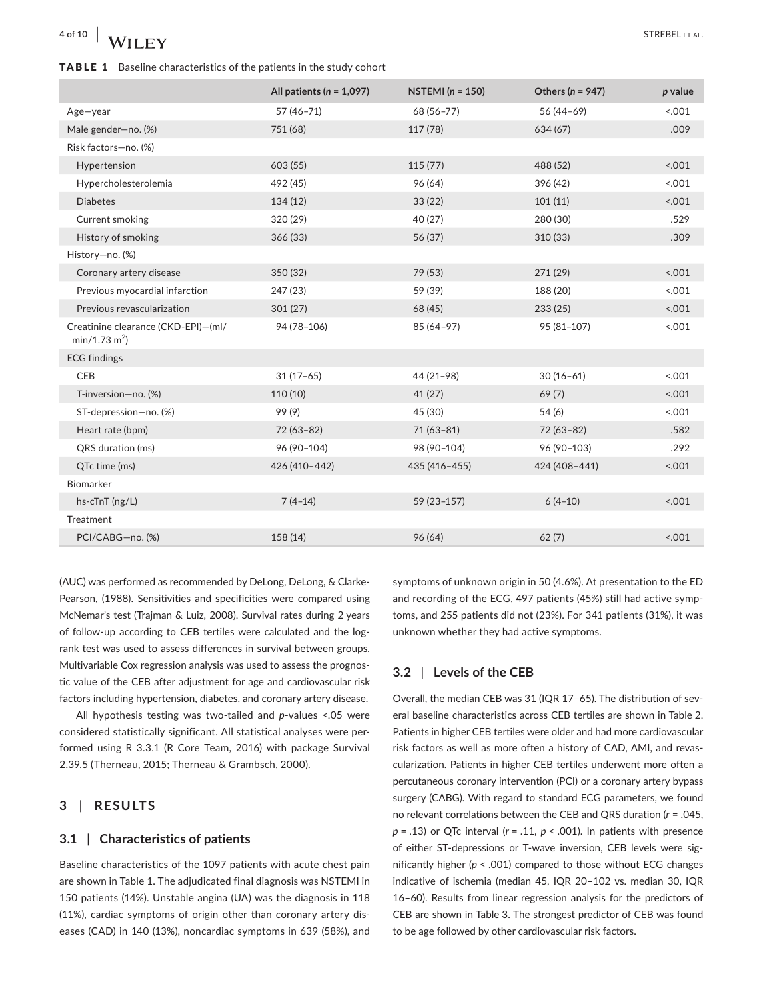#### TABLE 1 Baseline characteristics of the patients in the study cohort

|                                                        | All patients ( $n = 1,097$ ) | NSTEMI $(n = 150)$ | Others ( $n = 947$ ) | p value |
|--------------------------------------------------------|------------------------------|--------------------|----------------------|---------|
| Age-year                                               | 57 (46-71)                   | 68 (56-77)         | $56(44-69)$          | < .001  |
| Male gender-no. (%)                                    | 751 (68)                     | 117 (78)           | 634 (67)             | .009    |
| Risk factors-no. (%)                                   |                              |                    |                      |         |
| Hypertension                                           | 603 (55)                     | 115(77)            | 488 (52)             | < .001  |
| Hypercholesterolemia                                   | 492 (45)                     | 96 (64)            | 396 (42)             | < .001  |
| <b>Diabetes</b>                                        | 134(12)                      | 33(22)             | 101(11)              | < 0.001 |
| Current smoking                                        | 320 (29)                     | 40 (27)            | 280 (30)             | .529    |
| History of smoking                                     | 366 (33)                     | 56 (37)            | 310 (33)             | .309    |
| History-no. (%)                                        |                              |                    |                      |         |
| Coronary artery disease                                | 350 (32)                     | 79 (53)            | 271 (29)             | 0.001   |
| Previous myocardial infarction                         | 247 (23)                     | 59 (39)            | 188 (20)             | < .001  |
| Previous revascularization                             | 301(27)                      | 68 (45)            | 233(25)              | < .001  |
| Creatinine clearance (CKD-EPI)-(ml/<br>$min/1.73 m2$ ) | 94 (78-106)                  | 85 (64-97)         | 95 (81-107)          | < .001  |
| <b>ECG</b> findings                                    |                              |                    |                      |         |
| <b>CEB</b>                                             | $31(17-65)$                  | 44 (21-98)         | $30(16-61)$          | < .001  |
| T-inversion-no. (%)                                    | 110(10)                      | 41(27)             | 69(7)                | < .001  |
| ST-depression-no. (%)                                  | 99 (9)                       | 45 (30)            | 54 (6)               | < .001  |
| Heart rate (bpm)                                       | $72(63-82)$                  | $71(63-81)$        | $72(63 - 82)$        | .582    |
| QRS duration (ms)                                      | 96 (90-104)                  | 98 (90-104)        | 96 (90-103)          | .292    |
| QTc time (ms)                                          | 426 (410-442)                | 435 (416-455)      | 424 (408-441)        | < 0.001 |
| <b>Biomarker</b>                                       |                              |                    |                      |         |

hs-cTnT (ng/L) 7 (4–14) 59 (23–157) 6 (4–10) <.001

PCI/CABG—no. (%) 158 (14) 96 (64) 62 (7) <001

(AUC) was performed as recommended by DeLong, DeLong, & Clarke-Pearson, (1988). Sensitivities and specificities were compared using McNemar's test (Trajman & Luiz, 2008). Survival rates during 2 years of follow-up according to CEB tertiles were calculated and the logrank test was used to assess differences in survival between groups. Multivariable Cox regression analysis was used to assess the prognostic value of the CEB after adjustment for age and cardiovascular risk factors including hypertension, diabetes, and coronary artery disease.

All hypothesis testing was two-tailed and *p*-values <.05 were considered statistically significant. All statistical analyses were performed using R 3.3.1 (R Core Team, 2016) with package Survival 2.39.5 (Therneau, 2015; Therneau & Grambsch, 2000).

# **3** | **RESULTS**

Treatment

# **3.1** | **Characteristics of patients**

Baseline characteristics of the 1097 patients with acute chest pain are shown in Table 1. The adjudicated final diagnosis was NSTEMI in 150 patients (14%). Unstable angina (UA) was the diagnosis in 118 (11%), cardiac symptoms of origin other than coronary artery diseases (CAD) in 140 (13%), noncardiac symptoms in 639 (58%), and symptoms of unknown origin in 50 (4.6%). At presentation to the ED and recording of the ECG, 497 patients (45%) still had active symptoms, and 255 patients did not (23%). For 341 patients (31%), it was unknown whether they had active symptoms.

# **3.2** | **Levels of the CEB**

Overall, the median CEB was 31 (IQR 17–65). The distribution of several baseline characteristics across CEB tertiles are shown in Table 2. Patients in higher CEB tertiles were older and had more cardiovascular risk factors as well as more often a history of CAD, AMI, and revascularization. Patients in higher CEB tertiles underwent more often a percutaneous coronary intervention (PCI) or a coronary artery bypass surgery (CABG). With regard to standard ECG parameters, we found no relevant correlations between the CEB and QRS duration (*r* = .045, *p* = .13) or QTc interval (*r* = .11, *p* < .001). In patients with presence of either ST-depressions or T-wave inversion, CEB levels were significantly higher (*p* < .001) compared to those without ECG changes indicative of ischemia (median 45, IQR 20–102 vs. median 30, IQR 16–60). Results from linear regression analysis for the predictors of CEB are shown in Table 3. The strongest predictor of CEB was found to be age followed by other cardiovascular risk factors.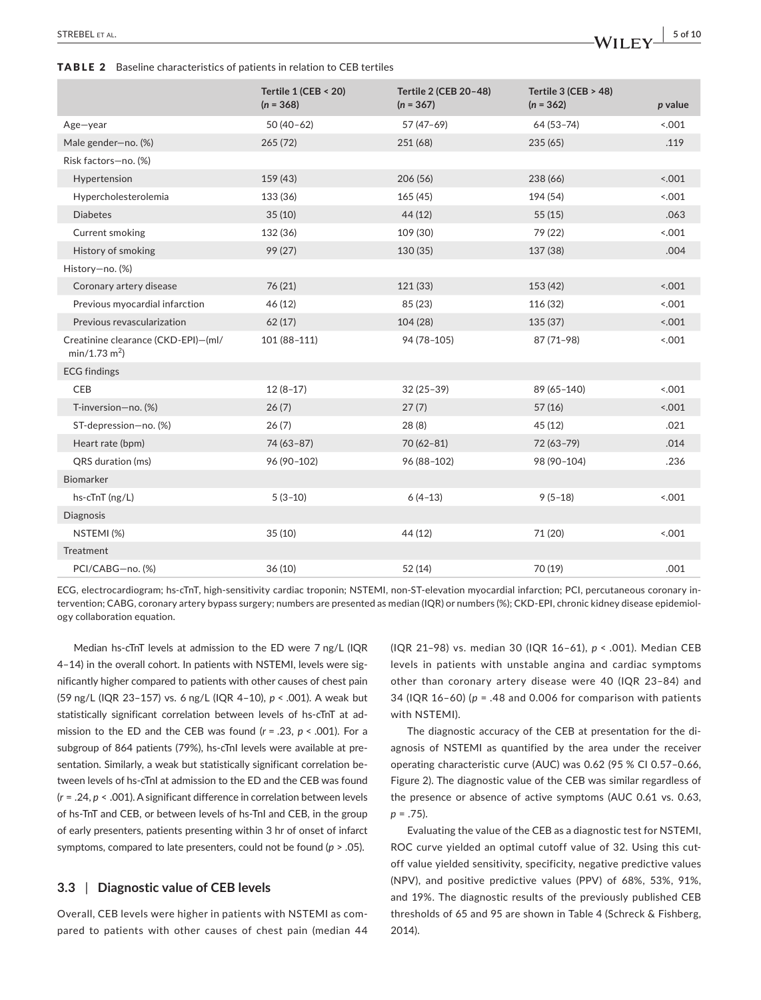#### TABLE 2 Baseline characteristics of patients in relation to CEB tertiles

|                                                        | Tertile $1$ (CEB < 20)<br>$(n = 368)$ | Tertile 2 (CEB 20-48)<br>$(n = 367)$ | Tertile $3$ (CEB $>$ 48)<br>$(n = 362)$ | p value |
|--------------------------------------------------------|---------------------------------------|--------------------------------------|-----------------------------------------|---------|
| Age-year                                               | $50(40-62)$                           | 57 (47-69)                           | 64 (53-74)                              | 001     |
| Male gender-no. (%)                                    | 265(72)                               | 251 (68)                             | 235(65)                                 | .119    |
| Risk factors-no. (%)                                   |                                       |                                      |                                         |         |
| Hypertension                                           | 159 (43)                              | 206(56)                              | 238 (66)                                | 1001    |
| Hypercholesterolemia                                   | 133 (36)                              | 165(45)                              | 194 (54)                                | 001     |
| <b>Diabetes</b>                                        | 35(10)                                | 44 (12)                              | 55(15)                                  | .063    |
| Current smoking                                        | 132 (36)                              | 109 (30)                             | 79 (22)                                 | 001     |
| History of smoking                                     | 99 (27)                               | 130(35)                              | 137 (38)                                | .004    |
| History-no. (%)                                        |                                       |                                      |                                         |         |
| Coronary artery disease                                | 76(21)                                | 121 (33)                             | 153 (42)                                | 5.001   |
| Previous myocardial infarction                         | 46(12)                                | 85 (23)                              | 116 (32)                                | 5.001   |
| Previous revascularization                             | 62(17)                                | 104(28)                              | 135(37)                                 | 001     |
| Creatinine clearance (CKD-EPI)-(ml/<br>$min/1.73 m2$ ) | 101 (88-111)                          | 94 (78-105)                          | 87 (71-98)                              | 001     |
| <b>ECG</b> findings                                    |                                       |                                      |                                         |         |
| <b>CEB</b>                                             | $12(8-17)$                            | $32(25-39)$                          | 89 (65-140)                             | 5.001   |
| T-inversion-no. (%)                                    | 26(7)                                 | 27(7)                                | 57(16)                                  | 001     |
| ST-depression-no. (%)                                  | 26(7)                                 | 28(8)                                | 45(12)                                  | .021    |
| Heart rate (bpm)                                       | 74 (63-87)                            | $70(62-81)$                          | 72 (63-79)                              | .014    |
| QRS duration (ms)                                      | 96 (90-102)                           | 96 (88-102)                          | 98 (90-104)                             | .236    |
| Biomarker                                              |                                       |                                      |                                         |         |
| $hs\text{-}cTnT$ (ng/L)                                | $5(3-10)$                             | $6(4-13)$                            | $9(5-18)$                               | < .001  |
| <b>Diagnosis</b>                                       |                                       |                                      |                                         |         |
| NSTEMI(%)                                              | 35(10)                                | 44 (12)                              | 71 (20)                                 | 001     |
| Treatment                                              |                                       |                                      |                                         |         |
| PCI/CABG-no. (%)                                       | 36(10)                                | 52(14)                               | 70 (19)                                 | .001    |

ECG, electrocardiogram; hs-cTnT, high-sensitivity cardiac troponin; NSTEMI, non-ST-elevation myocardial infarction; PCI, percutaneous coronary intervention; CABG, coronary artery bypass surgery; numbers are presented as median (IQR) or numbers (%); CKD-EPI, chronic kidney disease epidemiology collaboration equation.

Median hs-cTnT levels at admission to the ED were 7 ng/L (IQR 4–14) in the overall cohort. In patients with NSTEMI, levels were significantly higher compared to patients with other causes of chest pain (59 ng/L (IQR 23–157) vs. 6 ng/L (IQR 4–10), *p* < .001). A weak but statistically significant correlation between levels of hs-cTnT at admission to the ED and the CEB was found (*r* = .23, *p* < .001). For a subgroup of 864 patients (79%), hs-cTnI levels were available at presentation. Similarly, a weak but statistically significant correlation between levels of hs-cTnI at admission to the ED and the CEB was found (*r* = .24, *p* < .001). A significant difference in correlation between levels of hs-TnT and CEB, or between levels of hs-TnI and CEB, in the group of early presenters, patients presenting within 3 hr of onset of infarct symptoms, compared to late presenters, could not be found (*p* > .05).

#### **3.3** | **Diagnostic value of CEB levels**

Overall, CEB levels were higher in patients with NSTEMI as compared to patients with other causes of chest pain (median 44 (IQR 21–98) vs. median 30 (IQR 16–61), *p* < .001). Median CEB levels in patients with unstable angina and cardiac symptoms other than coronary artery disease were 40 (IQR 23–84) and 34 (IQR 16–60) (*p* = .48 and 0.006 for comparison with patients with NSTEMI).

The diagnostic accuracy of the CEB at presentation for the diagnosis of NSTEMI as quantified by the area under the receiver operating characteristic curve (AUC) was 0.62 (95 % CI 0.57–0.66, Figure 2). The diagnostic value of the CEB was similar regardless of the presence or absence of active symptoms (AUC 0.61 vs. 0.63, *p* = .75).

Evaluating the value of the CEB as a diagnostic test for NSTEMI, ROC curve yielded an optimal cutoff value of 32. Using this cutoff value yielded sensitivity, specificity, negative predictive values (NPV), and positive predictive values (PPV) of 68%, 53%, 91%, and 19%. The diagnostic results of the previously published CEB thresholds of 65 and 95 are shown in Table 4 (Schreck & Fishberg, 2014).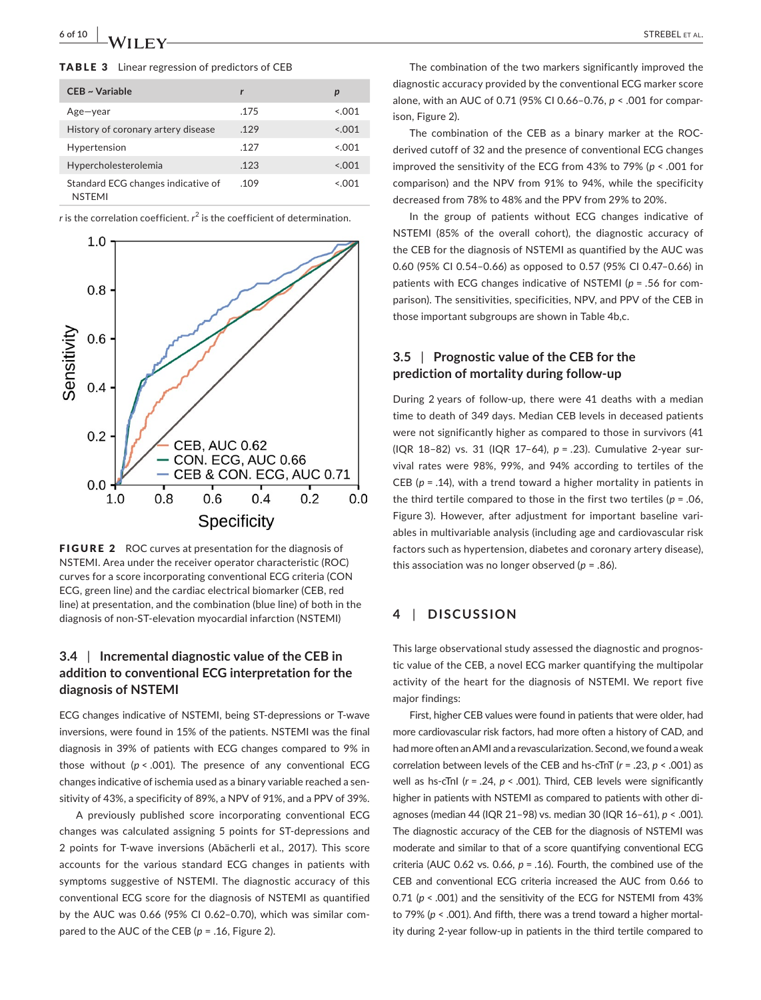#### TABLE 3 Linear regression of predictors of CEB

| $CEB \sim \text{Variable}$                          | r    | р      |
|-----------------------------------------------------|------|--------|
| $Age - year$                                        | .175 | < 0.01 |
| History of coronary artery disease                  | .129 | 5.001  |
| Hypertension                                        | .127 | 0.001  |
| Hypercholesterolemia                                | .123 | 5.001  |
| Standard ECG changes indicative of<br><b>NSTEMI</b> | .109 | 5.001  |

*r* is the correlation coefficient.  $r^2$  is the coefficient of determination.



FIGURE 2 ROC curves at presentation for the diagnosis of NSTEMI. Area under the receiver operator characteristic (ROC) curves for a score incorporating conventional ECG criteria (CON ECG, green line) and the cardiac electrical biomarker (CEB, red line) at presentation, and the combination (blue line) of both in the diagnosis of non-ST-elevation myocardial infarction (NSTEMI)

# **3.4** | **Incremental diagnostic value of the CEB in addition to conventional ECG interpretation for the diagnosis of NSTEMI**

ECG changes indicative of NSTEMI, being ST-depressions or T-wave inversions, were found in 15% of the patients. NSTEMI was the final diagnosis in 39% of patients with ECG changes compared to 9% in those without  $(p < .001)$ . The presence of any conventional ECG changes indicative of ischemia used as a binary variable reached a sensitivity of 43%, a specificity of 89%, a NPV of 91%, and a PPV of 39%.

A previously published score incorporating conventional ECG changes was calculated assigning 5 points for ST-depressions and 2 points for T-wave inversions (Abächerli et al., 2017). This score accounts for the various standard ECG changes in patients with symptoms suggestive of NSTEMI. The diagnostic accuracy of this conventional ECG score for the diagnosis of NSTEMI as quantified by the AUC was 0.66 (95% CI 0.62–0.70), which was similar compared to the AUC of the CEB (*p* = .16, Figure 2).

The combination of the two markers significantly improved the diagnostic accuracy provided by the conventional ECG marker score alone, with an AUC of 0.71 (95% CI 0.66–0.76, *p* < .001 for comparison, Figure 2).

The combination of the CEB as a binary marker at the ROCderived cutoff of 32 and the presence of conventional ECG changes improved the sensitivity of the ECG from 43% to 79% (*p* < .001 for comparison) and the NPV from 91% to 94%, while the specificity decreased from 78% to 48% and the PPV from 29% to 20%.

In the group of patients without ECG changes indicative of NSTEMI (85% of the overall cohort), the diagnostic accuracy of the CEB for the diagnosis of NSTEMI as quantified by the AUC was 0.60 (95% CI 0.54–0.66) as opposed to 0.57 (95% CI 0.47–0.66) in patients with ECG changes indicative of NSTEMI (*p* = .56 for comparison). The sensitivities, specificities, NPV, and PPV of the CEB in those important subgroups are shown in Table 4b,c.

# **3.5** | **Prognostic value of the CEB for the prediction of mortality during follow-up**

During 2 years of follow-up, there were 41 deaths with a median time to death of 349 days. Median CEB levels in deceased patients were not significantly higher as compared to those in survivors (41 (IQR 18–82) vs. 31 (IQR 17–64), *p* = .23). Cumulative 2-year survival rates were 98%, 99%, and 94% according to tertiles of the CEB ( $p = .14$ ), with a trend toward a higher mortality in patients in the third tertile compared to those in the first two tertiles (*p* = .06, Figure 3). However, after adjustment for important baseline variables in multivariable analysis (including age and cardiovascular risk factors such as hypertension, diabetes and coronary artery disease), this association was no longer observed (*p* = .86).

# **4** | **DISCUSSION**

This large observational study assessed the diagnostic and prognostic value of the CEB, a novel ECG marker quantifying the multipolar activity of the heart for the diagnosis of NSTEMI. We report five major findings:

First, higher CEB values were found in patients that were older, had more cardiovascular risk factors, had more often a history of CAD, and had more often an AMI and a revascularization. Second, we found a weak correlation between levels of the CEB and hs-cTnT (*r* = .23, *p* < .001) as well as hs-cTnI (*r* = .24, *p* < .001). Third, CEB levels were significantly higher in patients with NSTEMI as compared to patients with other diagnoses (median 44 (IQR 21–98) vs. median 30 (IQR 16–61), *p* < .001). The diagnostic accuracy of the CEB for the diagnosis of NSTEMI was moderate and similar to that of a score quantifying conventional ECG criteria (AUC 0.62 vs. 0.66,  $p = .16$ ). Fourth, the combined use of the CEB and conventional ECG criteria increased the AUC from 0.66 to 0.71 (*p* < .001) and the sensitivity of the ECG for NSTEMI from 43% to 79% (*p* < .001). And fifth, there was a trend toward a higher mortality during 2-year follow-up in patients in the third tertile compared to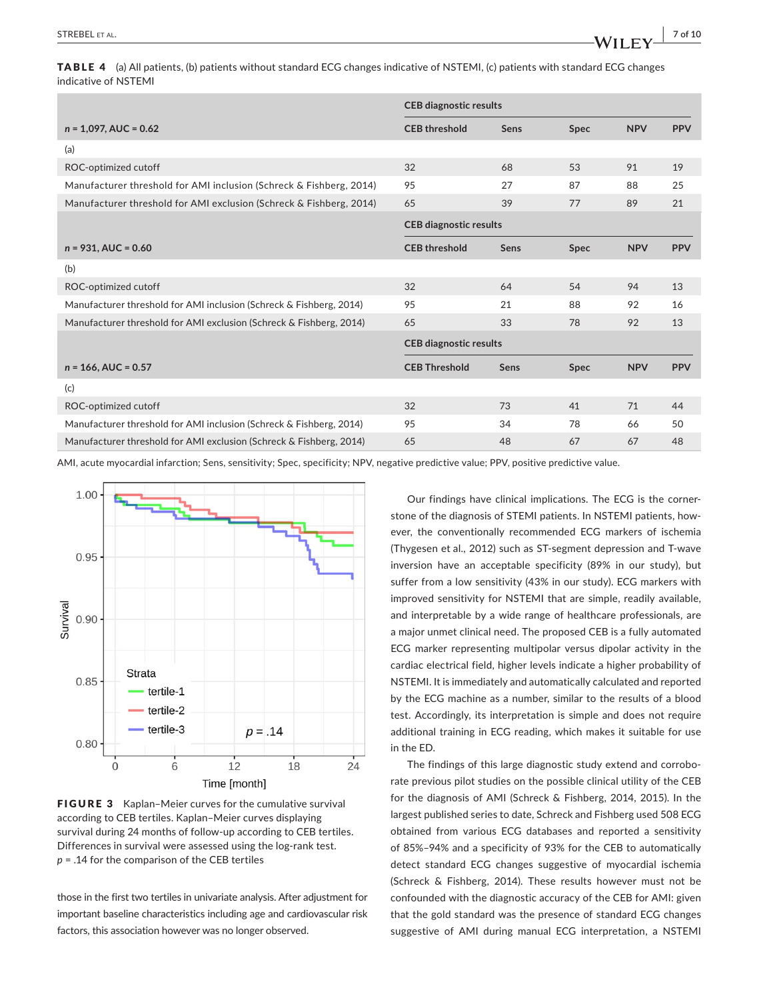TABLE 4 (a) All patients, (b) patients without standard ECG changes indicative of NSTEMI, (c) patients with standard ECG changes indicative of NSTEMI

|                                                                     | <b>CEB diagnostic results</b> |      |             |            |            |
|---------------------------------------------------------------------|-------------------------------|------|-------------|------------|------------|
| $n = 1,097$ , AUC = 0.62                                            | <b>CEB threshold</b>          | Sens | <b>Spec</b> | <b>NPV</b> | <b>PPV</b> |
| (a)                                                                 |                               |      |             |            |            |
| ROC-optimized cutoff                                                | 32                            | 68   | 53          | 91         | 19         |
| Manufacturer threshold for AMI inclusion (Schreck & Fishberg, 2014) | 95                            | 27   | 87          | 88         | 25         |
| Manufacturer threshold for AMI exclusion (Schreck & Fishberg, 2014) | 65                            | 39   | 77          | 89         | 21         |
|                                                                     | <b>CEB diagnostic results</b> |      |             |            |            |
| $n = 931$ , AUC = 0.60                                              | <b>CEB threshold</b>          | Sens | <b>Spec</b> | <b>NPV</b> | <b>PPV</b> |
| (b)                                                                 |                               |      |             |            |            |
| ROC-optimized cutoff                                                | 32                            | 64   | 54          | 94         | 13         |
| Manufacturer threshold for AMI inclusion (Schreck & Fishberg, 2014) | 95                            | 21   | 88          | 92         | 16         |
| Manufacturer threshold for AMI exclusion (Schreck & Fishberg, 2014) | 65                            | 33   | 78          | 92         | 13         |
|                                                                     | <b>CEB diagnostic results</b> |      |             |            |            |
| $n = 166$ , AUC = 0.57                                              | <b>CEB Threshold</b>          | Sens | <b>Spec</b> | <b>NPV</b> | <b>PPV</b> |
| (c)                                                                 |                               |      |             |            |            |
| ROC-optimized cutoff                                                | 32                            | 73   | 41          | 71         | 44         |
| Manufacturer threshold for AMI inclusion (Schreck & Fishberg, 2014) | 95                            | 34   | 78          | 66         | 50         |
| Manufacturer threshold for AMI exclusion (Schreck & Fishberg, 2014) | 65                            | 48   | 67          | 67         | 48         |

AMI, acute myocardial infarction; Sens, sensitivity; Spec, specificity; NPV, negative predictive value; PPV, positive predictive value.



FIGURE 3 Kaplan–Meier curves for the cumulative survival according to CEB tertiles. Kaplan–Meier curves displaying survival during 24 months of follow-up according to CEB tertiles. Differences in survival were assessed using the log-rank test. *p* = .14 for the comparison of the CEB tertiles

those in the first two tertiles in univariate analysis. After adjustment for important baseline characteristics including age and cardiovascular risk factors, this association however was no longer observed.

Our findings have clinical implications. The ECG is the cornerstone of the diagnosis of STEMI patients. In NSTEMI patients, however, the conventionally recommended ECG markers of ischemia (Thygesen et al., 2012) such as ST-segment depression and T-wave inversion have an acceptable specificity (89% in our study), but suffer from a low sensitivity (43% in our study). ECG markers with improved sensitivity for NSTEMI that are simple, readily available, and interpretable by a wide range of healthcare professionals, are a major unmet clinical need. The proposed CEB is a fully automated ECG marker representing multipolar versus dipolar activity in the cardiac electrical field, higher levels indicate a higher probability of NSTEMI. It is immediately and automatically calculated and reported by the ECG machine as a number, similar to the results of a blood test. Accordingly, its interpretation is simple and does not require additional training in ECG reading, which makes it suitable for use in the ED.

The findings of this large diagnostic study extend and corroborate previous pilot studies on the possible clinical utility of the CEB for the diagnosis of AMI (Schreck & Fishberg, 2014, 2015). In the largest published series to date, Schreck and Fishberg used 508 ECG obtained from various ECG databases and reported a sensitivity of 85%–94% and a specificity of 93% for the CEB to automatically detect standard ECG changes suggestive of myocardial ischemia (Schreck & Fishberg, 2014). These results however must not be confounded with the diagnostic accuracy of the CEB for AMI: given that the gold standard was the presence of standard ECG changes suggestive of AMI during manual ECG interpretation, a NSTEMI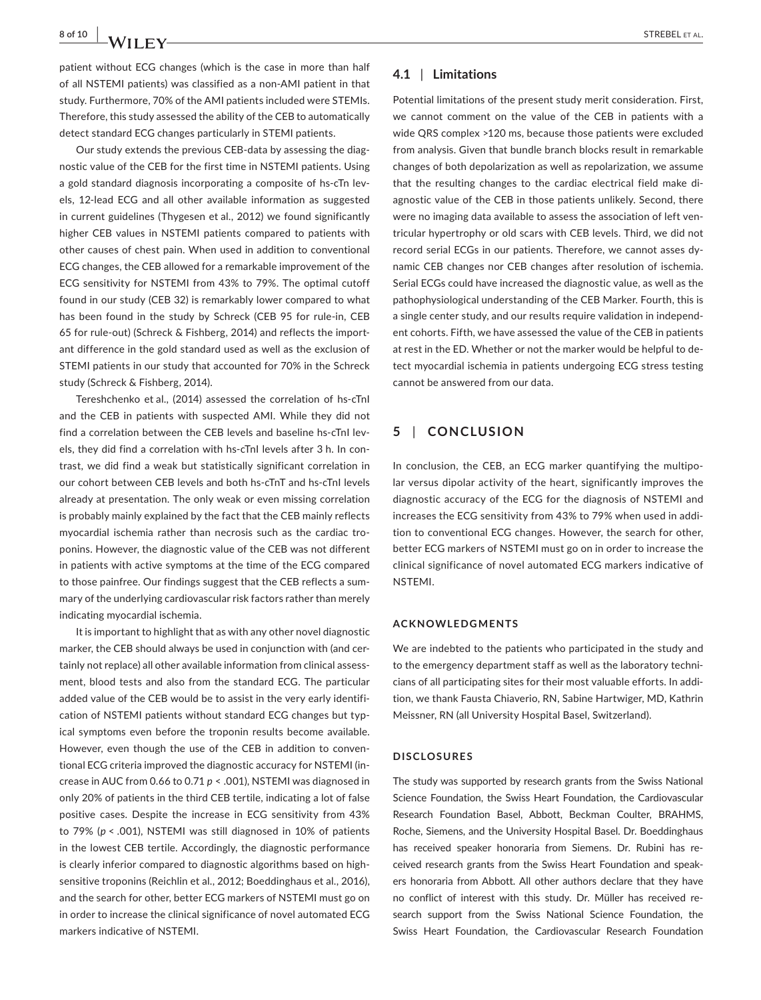# **8 of 10 <b>b b**  $\overline{AB}$  **b**  $\overline{AB}$  **c**  $\overline{AB}$  **c**  $\overline{AB}$  **c**  $\overline{AB}$  **c**  $\overline{AB}$  **c**  $\overline{AB}$  **c**  $\overline{AB}$  **c**  $\overline{AB}$  **c**  $\overline{AB}$  **c**  $\overline{AB}$  **c**  $\overline{AB}$  **c**  $\overline{AB}$  **c**  $\overline{AB}$  **c**  $\overline{AB}$  **c**  $\overline{AB}$

patient without ECG changes (which is the case in more than half of all NSTEMI patients) was classified as a non-AMI patient in that study. Furthermore, 70% of the AMI patients included were STEMIs. Therefore, this study assessed the ability of the CEB to automatically detect standard ECG changes particularly in STEMI patients.

Our study extends the previous CEB-data by assessing the diagnostic value of the CEB for the first time in NSTEMI patients. Using a gold standard diagnosis incorporating a composite of hs-cTn levels, 12-lead ECG and all other available information as suggested in current guidelines (Thygesen et al., 2012) we found significantly higher CEB values in NSTEMI patients compared to patients with other causes of chest pain. When used in addition to conventional ECG changes, the CEB allowed for a remarkable improvement of the ECG sensitivity for NSTEMI from 43% to 79%. The optimal cutoff found in our study (CEB 32) is remarkably lower compared to what has been found in the study by Schreck (CEB 95 for rule-in, CEB 65 for rule-out) (Schreck & Fishberg, 2014) and reflects the important difference in the gold standard used as well as the exclusion of STEMI patients in our study that accounted for 70% in the Schreck study (Schreck & Fishberg, 2014).

Tereshchenko et al., (2014) assessed the correlation of hs-cTnI and the CEB in patients with suspected AMI. While they did not find a correlation between the CEB levels and baseline hs-cTnI levels, they did find a correlation with hs-cTnI levels after 3 h. In contrast, we did find a weak but statistically significant correlation in our cohort between CEB levels and both hs-cTnT and hs-cTnI levels already at presentation. The only weak or even missing correlation is probably mainly explained by the fact that the CEB mainly reflects myocardial ischemia rather than necrosis such as the cardiac troponins. However, the diagnostic value of the CEB was not different in patients with active symptoms at the time of the ECG compared to those painfree. Our findings suggest that the CEB reflects a summary of the underlying cardiovascular risk factors rather than merely indicating myocardial ischemia.

It is important to highlight that as with any other novel diagnostic marker, the CEB should always be used in conjunction with (and certainly not replace) all other available information from clinical assessment, blood tests and also from the standard ECG. The particular added value of the CEB would be to assist in the very early identification of NSTEMI patients without standard ECG changes but typical symptoms even before the troponin results become available. However, even though the use of the CEB in addition to conventional ECG criteria improved the diagnostic accuracy for NSTEMI (increase in AUC from 0.66 to 0.71 *p* < .001), NSTEMI was diagnosed in only 20% of patients in the third CEB tertile, indicating a lot of false positive cases. Despite the increase in ECG sensitivity from 43% to 79% (*p* < .001), NSTEMI was still diagnosed in 10% of patients in the lowest CEB tertile. Accordingly, the diagnostic performance is clearly inferior compared to diagnostic algorithms based on highsensitive troponins (Reichlin et al., 2012; Boeddinghaus et al., 2016), and the search for other, better ECG markers of NSTEMI must go on in order to increase the clinical significance of novel automated ECG markers indicative of NSTEMI.

# **4.1** | **Limitations**

Potential limitations of the present study merit consideration. First, we cannot comment on the value of the CEB in patients with a wide QRS complex >120 ms, because those patients were excluded from analysis. Given that bundle branch blocks result in remarkable changes of both depolarization as well as repolarization, we assume that the resulting changes to the cardiac electrical field make diagnostic value of the CEB in those patients unlikely. Second, there were no imaging data available to assess the association of left ventricular hypertrophy or old scars with CEB levels. Third, we did not record serial ECGs in our patients. Therefore, we cannot asses dynamic CEB changes nor CEB changes after resolution of ischemia. Serial ECGs could have increased the diagnostic value, as well as the pathophysiological understanding of the CEB Marker. Fourth, this is a single center study, and our results require validation in independent cohorts. Fifth, we have assessed the value of the CEB in patients at rest in the ED. Whether or not the marker would be helpful to detect myocardial ischemia in patients undergoing ECG stress testing cannot be answered from our data.

# **5** | **CONCLUSION**

In conclusion, the CEB, an ECG marker quantifying the multipolar versus dipolar activity of the heart, significantly improves the diagnostic accuracy of the ECG for the diagnosis of NSTEMI and increases the ECG sensitivity from 43% to 79% when used in addition to conventional ECG changes. However, the search for other, better ECG markers of NSTEMI must go on in order to increase the clinical significance of novel automated ECG markers indicative of NSTEMI.

#### **ACKNOWLEDGMENTS**

We are indebted to the patients who participated in the study and to the emergency department staff as well as the laboratory technicians of all participating sites for their most valuable efforts. In addition, we thank Fausta Chiaverio, RN, Sabine Hartwiger, MD, Kathrin Meissner, RN (all University Hospital Basel, Switzerland).

#### **DISCLOSURES**

The study was supported by research grants from the Swiss National Science Foundation, the Swiss Heart Foundation, the Cardiovascular Research Foundation Basel, Abbott, Beckman Coulter, BRAHMS, Roche, Siemens, and the University Hospital Basel. Dr. Boeddinghaus has received speaker honoraria from Siemens. Dr. Rubini has received research grants from the Swiss Heart Foundation and speakers honoraria from Abbott. All other authors declare that they have no conflict of interest with this study. Dr. Müller has received research support from the Swiss National Science Foundation, the Swiss Heart Foundation, the Cardiovascular Research Foundation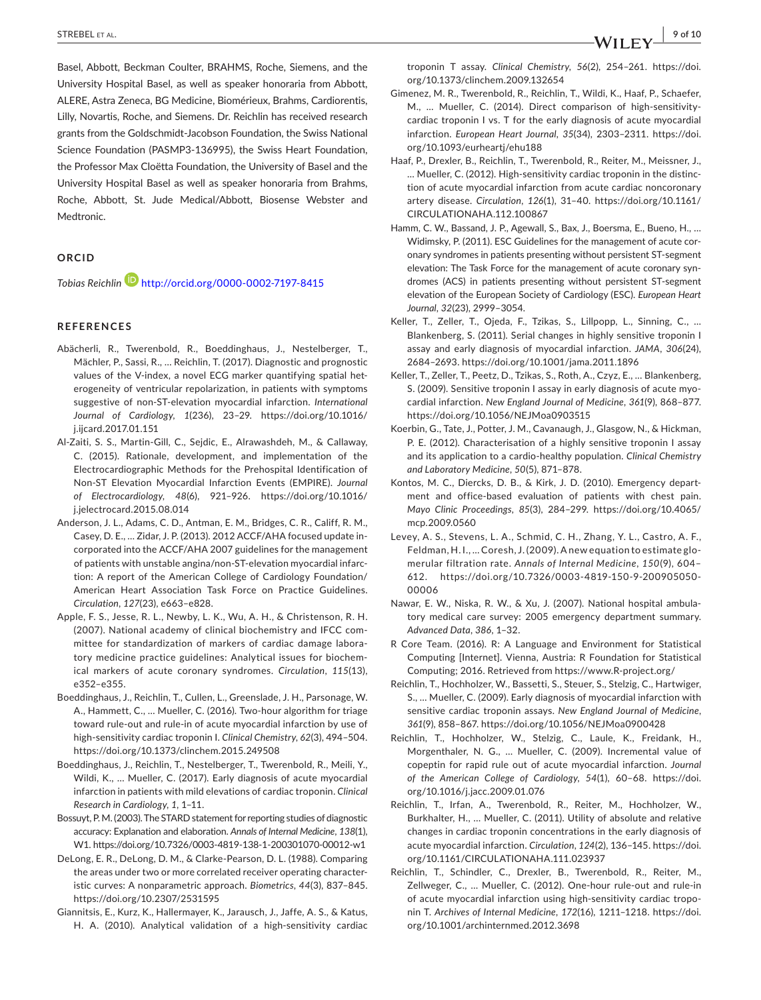Basel, Abbott, Beckman Coulter, BRAHMS, Roche, Siemens, and the University Hospital Basel, as well as speaker honoraria from Abbott, ALERE, Astra Zeneca, BG Medicine, Biomérieux, Brahms, Cardiorentis, Lilly, Novartis, Roche, and Siemens. Dr. Reichlin has received research grants from the Goldschmidt-Jacobson Foundation, the Swiss National Science Foundation (PASMP3-136995), the Swiss Heart Foundation, the Professor Max Cloëtta Foundation, the University of Basel and the University Hospital Basel as well as speaker honoraria from Brahms, Roche, Abbott, St. Jude Medical/Abbott, Biosense Webster and Medtronic.

#### **ORCID**

*Tobias Reichlin* http://orcid.org/0000-0002-7197-8415

#### **REFERENCES**

- Abächerli, R., Twerenbold, R., Boeddinghaus, J., Nestelberger, T., Mächler, P., Sassi, R., … Reichlin, T. (2017). Diagnostic and prognostic values of the V-index, a novel ECG marker quantifying spatial heterogeneity of ventricular repolarization, in patients with symptoms suggestive of non-ST-elevation myocardial infarction. *International Journal of Cardiology*, *1*(236), 23–29. https://doi.org/10.1016/ j.ijcard.2017.01.151
- Al-Zaiti, S. S., Martin-Gill, C., Sejdic, E., Alrawashdeh, M., & Callaway, C. (2015). Rationale, development, and implementation of the Electrocardiographic Methods for the Prehospital Identification of Non-ST Elevation Myocardial Infarction Events (EMPIRE). *Journal of Electrocardiology*, *48*(6), 921–926. https://doi.org/10.1016/ j.jelectrocard.2015.08.014
- Anderson, J. L., Adams, C. D., Antman, E. M., Bridges, C. R., Califf, R. M., Casey, D. E., … Zidar, J. P. (2013). 2012 ACCF/AHA focused update incorporated into the ACCF/AHA 2007 guidelines for the management of patients with unstable angina/non-ST-elevation myocardial infarction: A report of the American College of Cardiology Foundation/ American Heart Association Task Force on Practice Guidelines. *Circulation*, *127*(23), e663–e828.
- Apple, F. S., Jesse, R. L., Newby, L. K., Wu, A. H., & Christenson, R. H. (2007). National academy of clinical biochemistry and IFCC committee for standardization of markers of cardiac damage laboratory medicine practice guidelines: Analytical issues for biochemical markers of acute coronary syndromes. *Circulation*, *115*(13), e352–e355.
- Boeddinghaus, J., Reichlin, T., Cullen, L., Greenslade, J. H., Parsonage, W. A., Hammett, C., … Mueller, C. (2016). Two-hour algorithm for triage toward rule-out and rule-in of acute myocardial infarction by use of high-sensitivity cardiac troponin I. *Clinical Chemistry*, *62*(3), 494–504. https://doi.org/10.1373/clinchem.2015.249508
- Boeddinghaus, J., Reichlin, T., Nestelberger, T., Twerenbold, R., Meili, Y., Wildi, K., … Mueller, C. (2017). Early diagnosis of acute myocardial infarction in patients with mild elevations of cardiac troponin. *Clinical Research in Cardiology*, *1*, 1–11.
- Bossuyt, P. M. (2003). The STARD statement for reporting studies of diagnostic accuracy: Explanation and elaboration. *Annals of Internal Medicine*, *138*(1), W1. https://doi.org/10.7326/0003-4819-138-1-200301070-00012-w1
- DeLong, E. R., DeLong, D. M., & Clarke-Pearson, D. L. (1988). Comparing the areas under two or more correlated receiver operating characteristic curves: A nonparametric approach. *Biometrics*, *44*(3), 837–845. https://doi.org/10.2307/2531595
- Giannitsis, E., Kurz, K., Hallermayer, K., Jarausch, J., Jaffe, A. S., & Katus, H. A. (2010). Analytical validation of a high-sensitivity cardiac

troponin T assay. *Clinical Chemistry*, *56*(2), 254–261. https://doi. org/10.1373/clinchem.2009.132654

- Gimenez, M. R., Twerenbold, R., Reichlin, T., Wildi, K., Haaf, P., Schaefer, M., … Mueller, C. (2014). Direct comparison of high-sensitivitycardiac troponin I vs. T for the early diagnosis of acute myocardial infarction. *European Heart Journal*, *35*(34), 2303–2311. https://doi. org/10.1093/eurheartj/ehu188
- Haaf, P., Drexler, B., Reichlin, T., Twerenbold, R., Reiter, M., Meissner, J., … Mueller, C. (2012). High-sensitivity cardiac troponin in the distinction of acute myocardial infarction from acute cardiac noncoronary artery disease. *Circulation*, *126*(1), 31–40. https://doi.org/10.1161/ CIRCULATIONAHA.112.100867
- Hamm, C. W., Bassand, J. P., Agewall, S., Bax, J., Boersma, E., Bueno, H., … Widimsky, P. (2011). ESC Guidelines for the management of acute coronary syndromes in patients presenting without persistent ST-segment elevation: The Task Force for the management of acute coronary syndromes (ACS) in patients presenting without persistent ST-segment elevation of the European Society of Cardiology (ESC). *European Heart Journal*, *32*(23), 2999–3054.
- Keller, T., Zeller, T., Ojeda, F., Tzikas, S., Lillpopp, L., Sinning, C., … Blankenberg, S. (2011). Serial changes in highly sensitive troponin I assay and early diagnosis of myocardial infarction. *JAMA*, *306*(24), 2684–2693. https://doi.org/10.1001/jama.2011.1896
- Keller, T., Zeller, T., Peetz, D., Tzikas, S., Roth, A., Czyz, E., … Blankenberg, S. (2009). Sensitive troponin I assay in early diagnosis of acute myocardial infarction. *New England Journal of Medicine*, *361*(9), 868–877. https://doi.org/10.1056/NEJMoa0903515
- Koerbin, G., Tate, J., Potter, J. M., Cavanaugh, J., Glasgow, N., & Hickman, P. E. (2012). Characterisation of a highly sensitive troponin I assay and its application to a cardio-healthy population. *Clinical Chemistry and Laboratory Medicine*, *50*(5), 871–878.
- Kontos, M. C., Diercks, D. B., & Kirk, J. D. (2010). Emergency department and office-based evaluation of patients with chest pain. *Mayo Clinic Proceedings*, *85*(3), 284–299. https://doi.org/10.4065/ mcp.2009.0560
- Levey, A. S., Stevens, L. A., Schmid, C. H., Zhang, Y. L., Castro, A. F., Feldman, H. I., … Coresh, J. (2009). A new equation to estimate glomerular filtration rate. *Annals of Internal Medicine*, *150*(9), 604– 612. https://doi.org/10.7326/0003-4819-150-9-200905050- 00006
- Nawar, E. W., Niska, R. W., & Xu, J. (2007). National hospital ambulatory medical care survey: 2005 emergency department summary. *Advanced Data*, *386*, 1–32.
- R Core Team. (2016). R: A Language and Environment for Statistical Computing [Internet]. Vienna, Austria: R Foundation for Statistical Computing; 2016. Retrieved from https://www.R-project.org/
- Reichlin, T., Hochholzer, W., Bassetti, S., Steuer, S., Stelzig, C., Hartwiger, S., … Mueller, C. (2009). Early diagnosis of myocardial infarction with sensitive cardiac troponin assays. *New England Journal of Medicine*, *361*(9), 858–867. https://doi.org/10.1056/NEJMoa0900428
- Reichlin, T., Hochholzer, W., Stelzig, C., Laule, K., Freidank, H., Morgenthaler, N. G., … Mueller, C. (2009). Incremental value of copeptin for rapid rule out of acute myocardial infarction. *Journal of the American College of Cardiology*, *54*(1), 60–68. https://doi. org/10.1016/j.jacc.2009.01.076
- Reichlin, T., Irfan, A., Twerenbold, R., Reiter, M., Hochholzer, W., Burkhalter, H., … Mueller, C. (2011). Utility of absolute and relative changes in cardiac troponin concentrations in the early diagnosis of acute myocardial infarction. *Circulation*, *124*(2), 136–145. https://doi. org/10.1161/CIRCULATIONAHA.111.023937
- Reichlin, T., Schindler, C., Drexler, B., Twerenbold, R., Reiter, M., Zellweger, C., … Mueller, C. (2012). One-hour rule-out and rule-in of acute myocardial infarction using high-sensitivity cardiac troponin T. *Archives of Internal Medicine*, *172*(16), 1211–1218. https://doi. org/10.1001/archinternmed.2012.3698